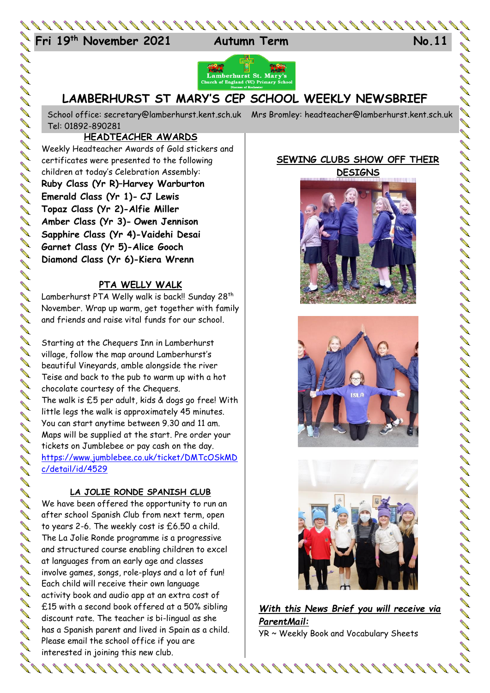



# **LAMBERHURST ST MARY'S CEP SCHOOL WEEKLY NEWSBRIEF**

School office: [secretary@lamberhurst.kent.sch.uk](mailto:secretary@lamberhurst.kent.sch.uk) Mrs Bromley: headteacher@lamberhurst.kent.sch.uk Tel: 01892-890281

## **HEADTEACHER AWARDS**

Weekly Headteacher Awards of Gold stickers and certificates were presented to the following children at today's Celebration Assembly: **Ruby Class (Yr R)–Harvey Warburton Emerald Class (Yr 1)- CJ Lewis Topaz Class (Yr 2)-Alfie Miller Amber Class (Yr 3)- Owen Jennison Sapphire Class (Yr 4)-Vaidehi Desai Garnet Class (Yr 5)-Alice Gooch Diamond Class (Yr 6)-Kiera Wrenn**

## **PTA WELLY WALK**

Lamberhurst PTA Welly walk is back!! Sunday 28<sup>th</sup> November. Wrap up warm, get together with family and friends and raise vital funds for our school.

Starting at the Chequers Inn in Lamberhurst village, follow the map around Lamberhurst's beautiful Vineyards, amble alongside the river Teise and back to the pub to warm up with a hot chocolate courtesy of the Chequers. The walk is £5 per adult, kids & dogs go free! With little legs the walk is approximately 45 minutes. You can start anytime between 9.30 and 11 am. Maps will be supplied at the start. Pre order your tickets on Jumblebee or pay cash on the day. [https://www.jumblebee.co.uk/ticket/DMTcOSkMD](https://www.jumblebee.co.uk/ticket/DMTcOSkMDc/detail/id/4529) [c/detail/id/4529](https://www.jumblebee.co.uk/ticket/DMTcOSkMDc/detail/id/4529)

#### **LA JOLIE RONDE SPANISH CLUB**

We have been offered the opportunity to run an after school Spanish Club from next term, open to years 2-6. The weekly cost is £6.50 a child. The La Jolie Ronde programme is a progressive and structured course enabling children to excel at languages from an early age and classes involve games, songs, role-plays and a lot of fun! Each child will receive their own language activity book and audio app at an extra cost of £15 with a second book offered at a 50% sibling discount rate. The teacher is bi-lingual as she has a Spanish parent and lived in Spain as a child. Please email the school office if you are interested in joining this new club.

#### **SEWING CLUBS SHOW OFF THEIR DESIGNS**







*With this News Brief you will receive via ParentMail:* YR ~ Weekly Book and Vocabulary Sheets